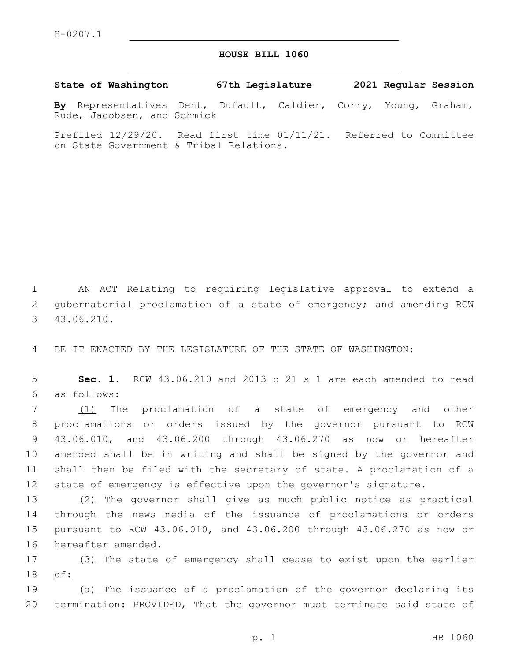## **HOUSE BILL 1060**

**State of Washington 67th Legislature 2021 Regular Session**

**By** Representatives Dent, Dufault, Caldier, Corry, Young, Graham, Rude, Jacobsen, and Schmick

Prefiled 12/29/20. Read first time 01/11/21. Referred to Committee on State Government & Tribal Relations.

1 AN ACT Relating to requiring legislative approval to extend a 2 gubernatorial proclamation of a state of emergency; and amending RCW 43.06.210.3

4 BE IT ENACTED BY THE LEGISLATURE OF THE STATE OF WASHINGTON:

5 **Sec. 1.** RCW 43.06.210 and 2013 c 21 s 1 are each amended to read as follows:6

7 (1) The proclamation of a state of emergency and other proclamations or orders issued by the governor pursuant to RCW 43.06.010, and 43.06.200 through 43.06.270 as now or hereafter amended shall be in writing and shall be signed by the governor and shall then be filed with the secretary of state. A proclamation of a state of emergency is effective upon the governor's signature.

 (2) The governor shall give as much public notice as practical through the news media of the issuance of proclamations or orders pursuant to RCW 43.06.010, and 43.06.200 through 43.06.270 as now or 16 hereafter amended.

17 (3) The state of emergency shall cease to exist upon the earlier 18 of:

19 (a) The issuance of a proclamation of the governor declaring its 20 termination: PROVIDED, That the governor must terminate said state of